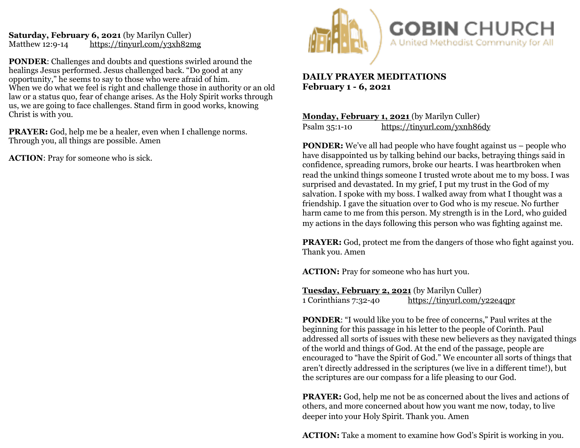## **Saturday, February 6, 2021** (by Marilyn Culler)<br>Matthew 12:9-14 https://tinyurl.com/y3xh82r <https://tinyurl.com/y3xh82mg>

**PONDER**: Challenges and doubts and questions swirled around the healings Jesus performed. Jesus challenged back. "Do good at any opportunity," he seems to say to those who were afraid of him. When we do what we feel is right and challenge those in authority or an old law or a status quo, fear of change arises. As the Holy Spirit works through us, we are going to face challenges. Stand firm in good works, knowing Christ is with you.

**PRAYER:** God, help me be a healer, even when I challenge norms. Through you, all things are possible. Amen

**ACTION**: Pray for someone who is sick.



## **DAILY PRAYER MEDITATIONS February 1 - 6, 2021**

**Monday, February 1, 2021** (by Marilyn Culler) Psalm 35:1-10 <https://tinyurl.com/yxnh86dy>

**PONDER:** We've all had people who have fought against us – people who have disappointed us by talking behind our backs, betraying things said in confidence, spreading rumors, broke our hearts. I was heartbroken when read the unkind things someone I trusted wrote about me to my boss. I was surprised and devastated. In my grief, I put my trust in the God of my salvation. I spoke with my boss. I walked away from what I thought was a friendship. I gave the situation over to God who is my rescue. No further harm came to me from this person. My strength is in the Lord, who guided my actions in the days following this person who was fighting against me.

**PRAYER:** God, protect me from the dangers of those who fight against you. Thank you. Amen

**ACTION:** Pray for someone who has hurt you.

**Tuesday, February 2, 2021** (by Marilyn Culler) 1 Corinthians 7:32-40 <https://tinyurl.com/y22e4qpr>

**PONDER:** "I would like you to be free of concerns," Paul writes at the beginning for this passage in his letter to the people of Corinth. Paul addressed all sorts of issues with these new believers as they navigated things of the world and things of God. At the end of the passage, people are encouraged to "have the Spirit of God." We encounter all sorts of things that aren't directly addressed in the scriptures (we live in a different time!), but the scriptures are our compass for a life pleasing to our God.

**PRAYER:** God, help me not be as concerned about the lives and actions of others, and more concerned about how you want me now, today, to live deeper into your Holy Spirit. Thank you. Amen

**ACTION:** Take a moment to examine how God's Spirit is working in you.